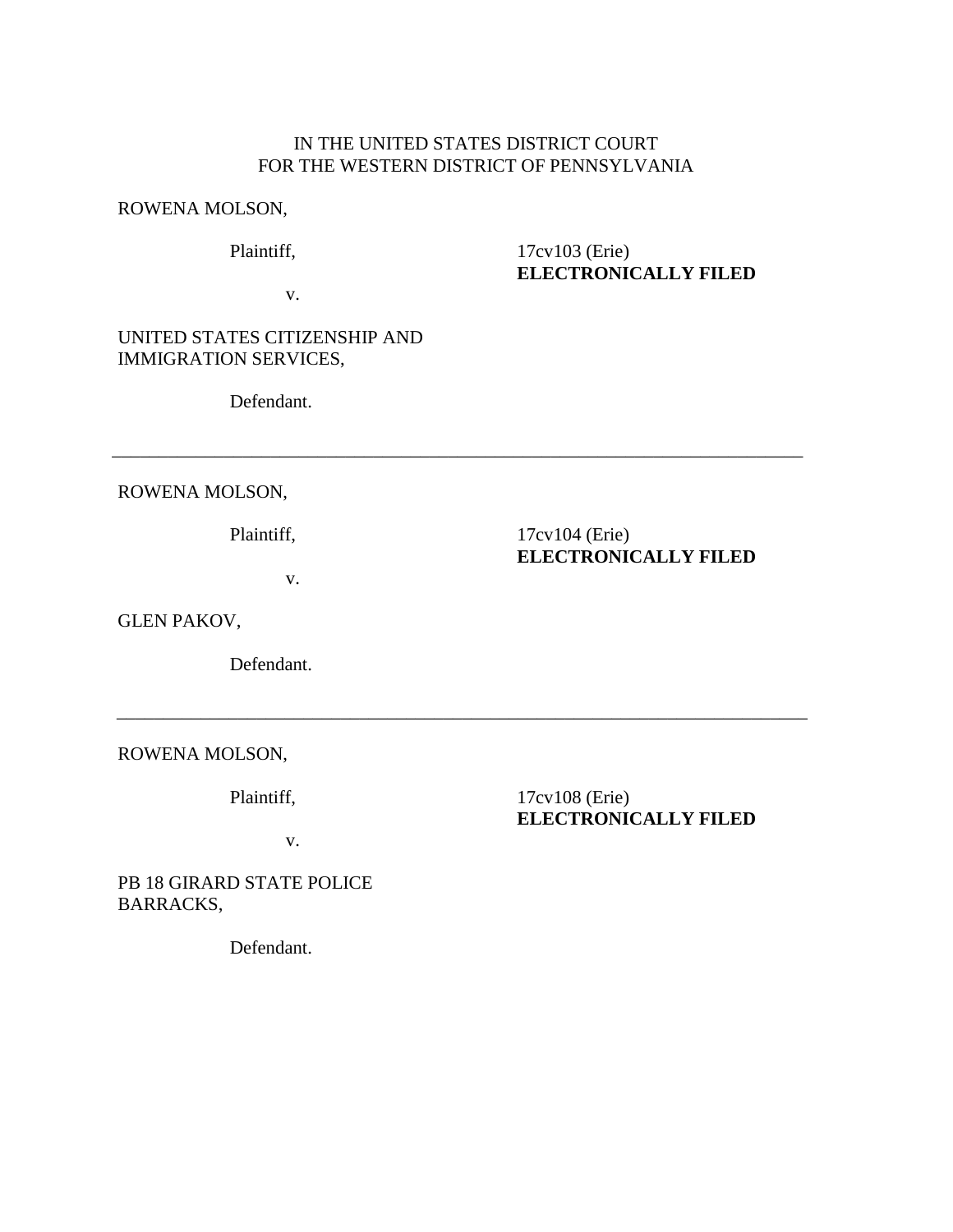## IN THE UNITED STATES DISTRICT COURT FOR THE WESTERN DISTRICT OF PENNSYLVANIA

\_\_\_\_\_\_\_\_\_\_\_\_\_\_\_\_\_\_\_\_\_\_\_\_\_\_\_\_\_\_\_\_\_\_\_\_\_\_\_\_\_\_\_\_\_\_\_\_\_\_\_\_\_\_\_\_\_\_\_\_\_\_\_\_\_\_\_\_\_\_\_\_\_\_

\_\_\_\_\_\_\_\_\_\_\_\_\_\_\_\_\_\_\_\_\_\_\_\_\_\_\_\_\_\_\_\_\_\_\_\_\_\_\_\_\_\_\_\_\_\_\_\_\_\_\_\_\_\_\_\_\_\_\_\_\_\_\_\_\_\_\_\_\_\_\_\_\_\_

#### ROWENA MOLSON,

Plaintiff,

v.

17cv103 (Erie) **ELECTRONICALLY FILED**

UNITED STATES CITIZENSHIP AND IMMIGRATION SERVICES,

Defendant.

ROWENA MOLSON,

Plaintiff,

17cv104 (Erie) **ELECTRONICALLY FILED**

v.

GLEN PAKOV,

Defendant.

ROWENA MOLSON,

Plaintiff,

17cv108 (Erie) **ELECTRONICALLY FILED**

v.

PB 18 GIRARD STATE POLICE BARRACKS,

Defendant.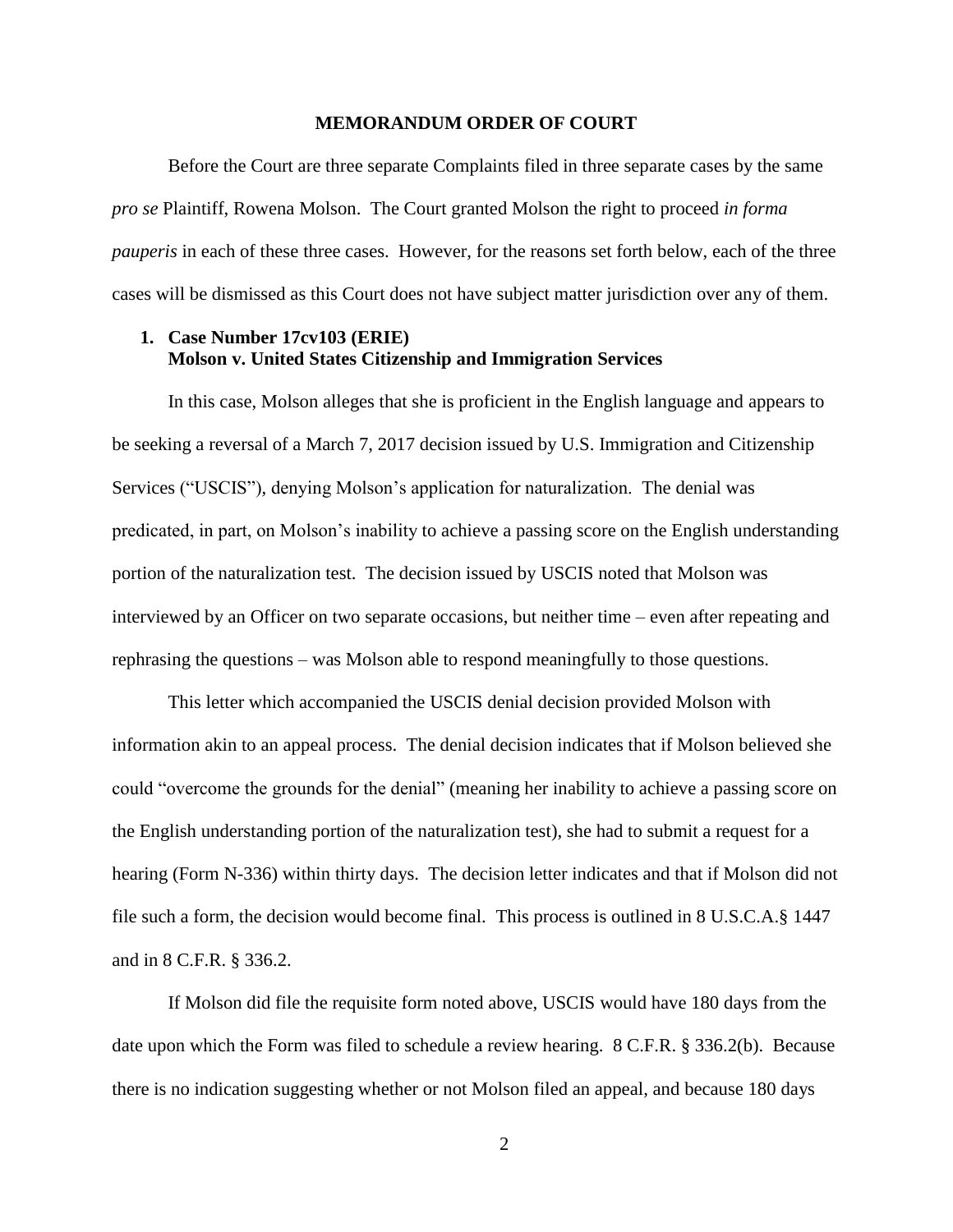#### **MEMORANDUM ORDER OF COURT**

Before the Court are three separate Complaints filed in three separate cases by the same *pro se* Plaintiff, Rowena Molson. The Court granted Molson the right to proceed *in forma pauperis* in each of these three cases. However, for the reasons set forth below, each of the three cases will be dismissed as this Court does not have subject matter jurisdiction over any of them.

## **1. Case Number 17cv103 (ERIE) Molson v. United States Citizenship and Immigration Services**

In this case, Molson alleges that she is proficient in the English language and appears to be seeking a reversal of a March 7, 2017 decision issued by U.S. Immigration and Citizenship Services ("USCIS"), denying Molson's application for naturalization. The denial was predicated, in part, on Molson's inability to achieve a passing score on the English understanding portion of the naturalization test. The decision issued by USCIS noted that Molson was interviewed by an Officer on two separate occasions, but neither time – even after repeating and rephrasing the questions – was Molson able to respond meaningfully to those questions.

This letter which accompanied the USCIS denial decision provided Molson with information akin to an appeal process. The denial decision indicates that if Molson believed she could "overcome the grounds for the denial" (meaning her inability to achieve a passing score on the English understanding portion of the naturalization test), she had to submit a request for a hearing (Form N-336) within thirty days. The decision letter indicates and that if Molson did not file such a form, the decision would become final. This process is outlined in 8 U.S.C.A.§ 1447 and in 8 C.F.R. § 336.2.

If Molson did file the requisite form noted above, USCIS would have 180 days from the date upon which the Form was filed to schedule a review hearing. 8 C.F.R. § 336.2(b). Because there is no indication suggesting whether or not Molson filed an appeal, and because 180 days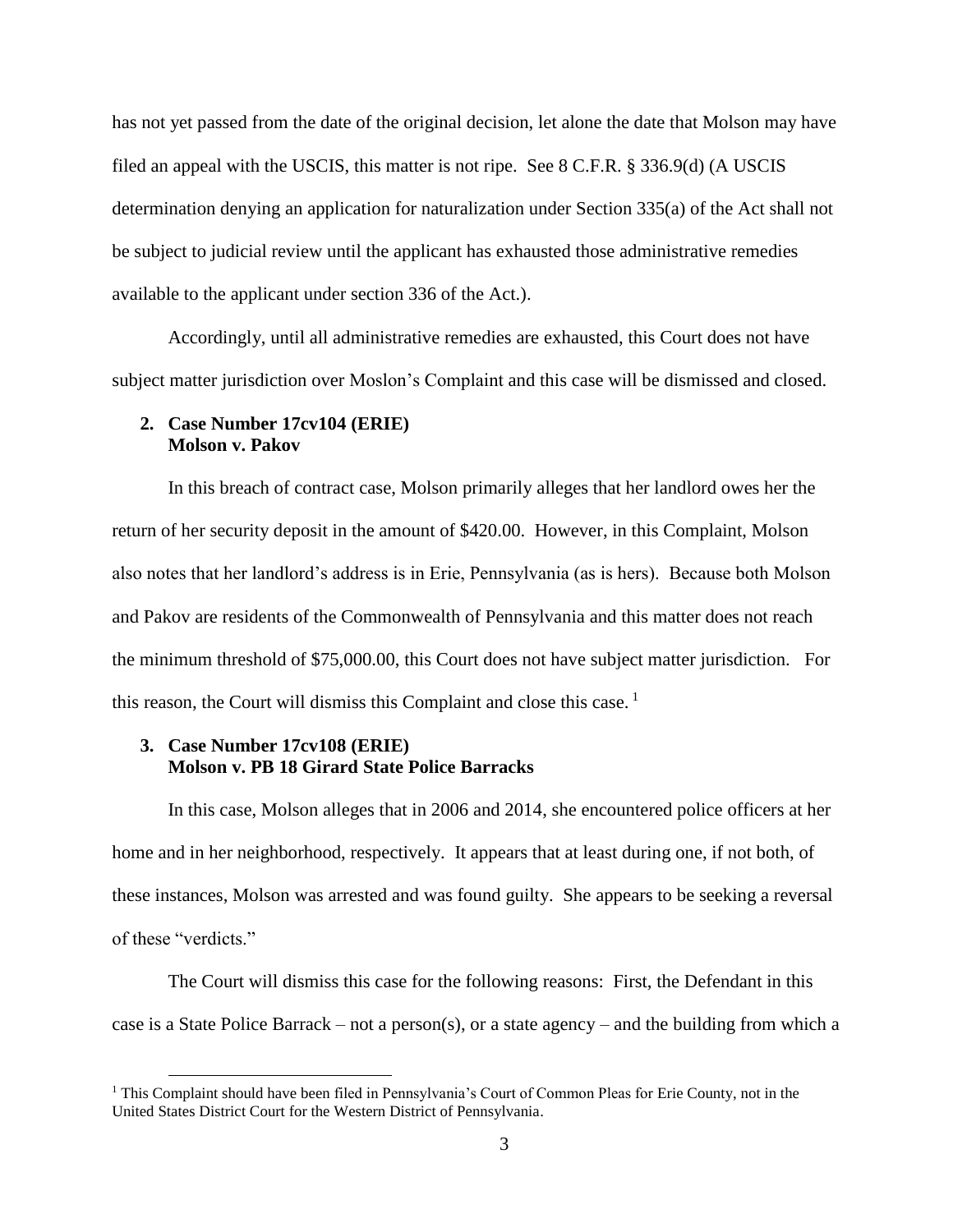has not yet passed from the date of the original decision, let alone the date that Molson may have filed an appeal with the USCIS, this matter is not ripe. See 8 C.F.R. § 336.9(d) (A USCIS determination denying an application for naturalization under Section 335(a) of the Act shall not be subject to judicial review until the applicant has exhausted those administrative remedies available to the applicant under section 336 of the Act.).

Accordingly, until all administrative remedies are exhausted, this Court does not have subject matter jurisdiction over Moslon's Complaint and this case will be dismissed and closed.

#### **2. Case Number 17cv104 (ERIE) Molson v. Pakov**

In this breach of contract case, Molson primarily alleges that her landlord owes her the return of her security deposit in the amount of \$420.00. However, in this Complaint, Molson also notes that her landlord's address is in Erie, Pennsylvania (as is hers). Because both Molson and Pakov are residents of the Commonwealth of Pennsylvania and this matter does not reach the minimum threshold of \$75,000.00, this Court does not have subject matter jurisdiction. For this reason, the Court will dismiss this Complaint and close this case.<sup>1</sup>

# **3. Case Number 17cv108 (ERIE) Molson v. PB 18 Girard State Police Barracks**

 $\overline{a}$ 

In this case, Molson alleges that in 2006 and 2014, she encountered police officers at her home and in her neighborhood, respectively. It appears that at least during one, if not both, of these instances, Molson was arrested and was found guilty. She appears to be seeking a reversal of these "verdicts."

The Court will dismiss this case for the following reasons: First, the Defendant in this case is a State Police Barrack – not a person(s), or a state agency – and the building from which a

 $1$  This Complaint should have been filed in Pennsylvania's Court of Common Pleas for Erie County, not in the United States District Court for the Western District of Pennsylvania.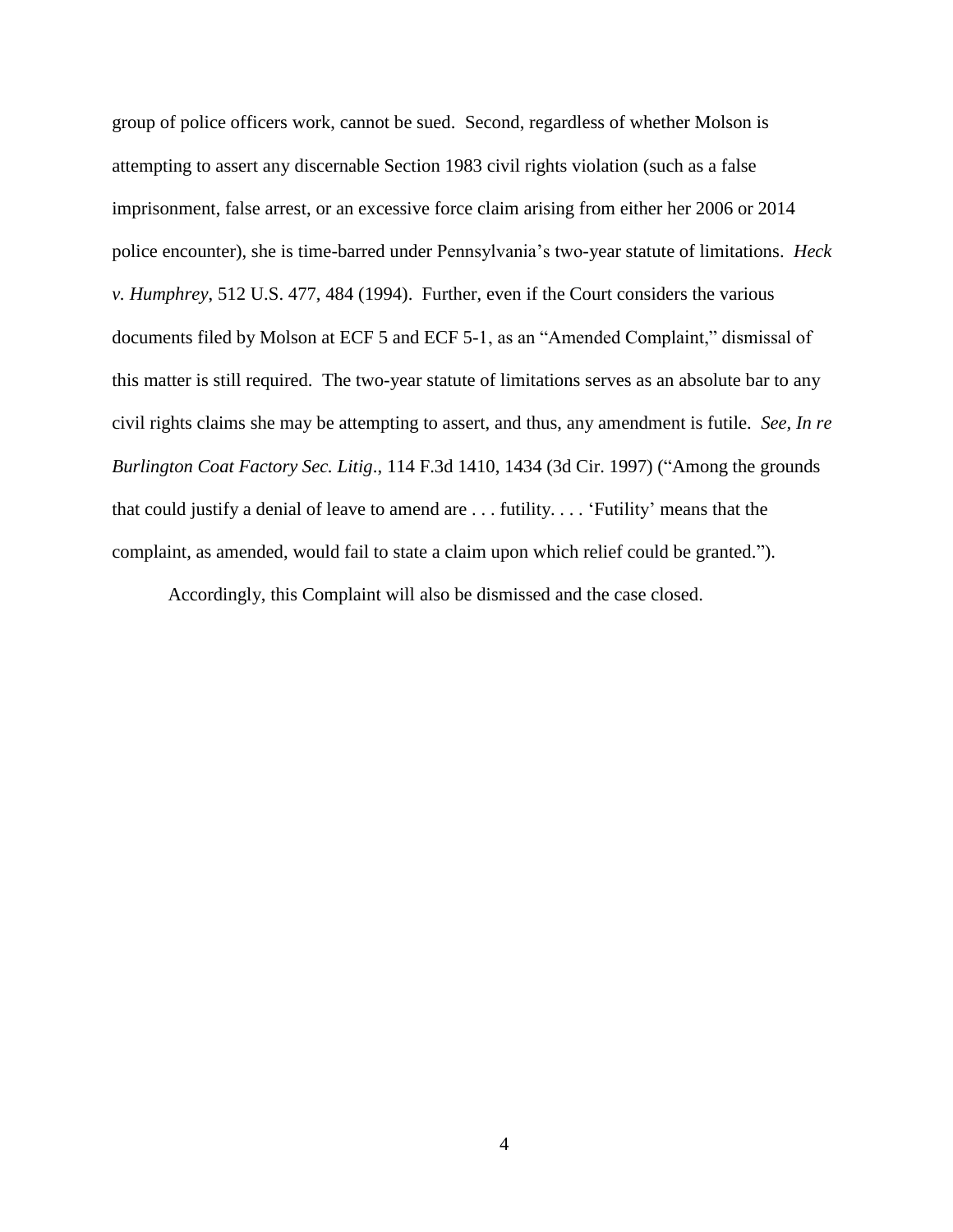group of police officers work, cannot be sued. Second, regardless of whether Molson is attempting to assert any discernable Section 1983 civil rights violation (such as a false imprisonment, false arrest, or an excessive force claim arising from either her 2006 or 2014 police encounter), she is time-barred under Pennsylvania's two-year statute of limitations. *Heck v. Humphrey*, 512 U.S. 477, 484 (1994). Further, even if the Court considers the various documents filed by Molson at ECF 5 and ECF 5-1, as an "Amended Complaint," dismissal of this matter is still required. The two-year statute of limitations serves as an absolute bar to any civil rights claims she may be attempting to assert, and thus, any amendment is futile. *See, In re Burlington Coat Factory Sec. Litig*., 114 F.3d 1410, 1434 (3d Cir. 1997) ("Among the grounds that could justify a denial of leave to amend are . . . futility. . . . 'Futility' means that the complaint, as amended, would fail to state a claim upon which relief could be granted.").

Accordingly, this Complaint will also be dismissed and the case closed.